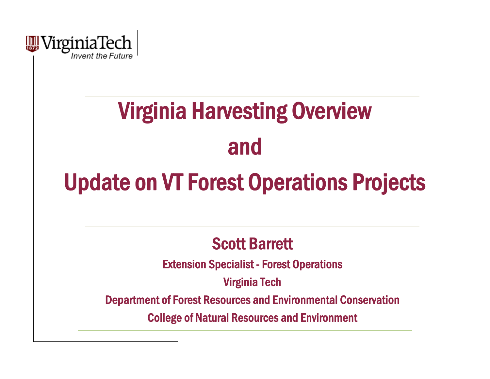

# **Virginia Harvesting Overview** and

## Update on VT Forest Operations Projects

### Scott Barrett

Extension Specialist - Forest Operations

Virginia Tech

Department of Forest Resources and Environmental Conservation

College of Natural Resources and Environment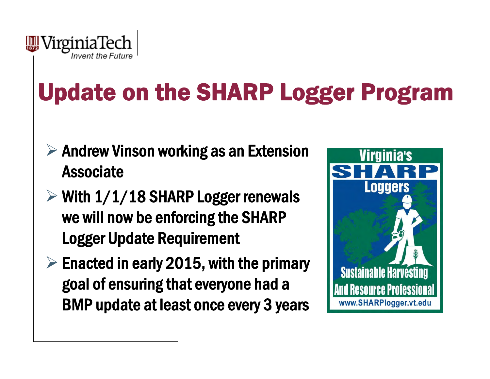

# Update on the SHARP Logger Program

- $\triangleright$  Andrew Vinson working as an Extension Associate
- $\triangleright$  With 1/1/18 SHARP Logger renewals we will now be enforcing the SHARP Logger Update Requirement
- $\triangleright$  Enacted in early 2015, with the primary goal of ensuring that everyone had a BMP update at least once every 3 years

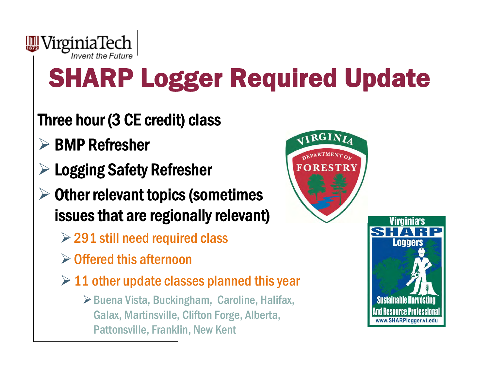

# SHARP Logger Required Update

### Three hour (3 CE credit) class

- $\triangleright$  BMP Refresher
- Logging Safety Refresher
- $\triangleright$  Other relevant topics (sometimes issues that are regionally relevant)
	- $\geq$  291 still need required class
	- $\triangleright$  Offered this afternoon
	- $\geq 11$  other update classes planned this year
		- $\triangleright$  Buena Vista, Buckingham, Caroline, Halifax, Galax, Martinsville, Clifton Forge, Alberta, Pattonsville, Franklin, New Kent

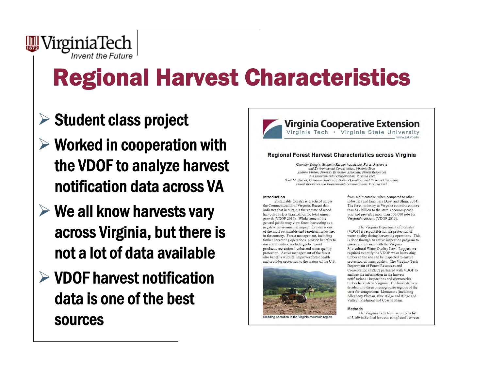

# Regional Harvest Characteristics

### $\triangleright$  Student class project

- $\triangleright$  Worked in cooperation with the VDOF to analyze harvest notification data across VA
- $\triangleright$  We all know harvests vary across Virginia, but there is not a lot of data available
- $\triangleright$  VDOF harvest notification data is one of the best sources



#### Regional Forest Harvest Characteristics across Virginia

Chandler Dangle, Graduate Research Assistant, Forest Resources and Environmental Conservation, Virginia Tech Andrew Vinson, Forestry Extension Associate, Forest Resources and Environmental Conservation. Virginia Tech Scott M. Barrett, Extension Specialist, Forest Operations and Biomass Utilization, Forest Resources and Environmental Conservation, Virginia Tech

#### **Introduction**

Sustainable forestry is practiced across the Commonwealth of Virginia. Recent data indicates that in Virginia the volume of wood harvested is less than half of the total annual growth (VDOF 2016). While some of the general public may view forest harvesting as a negative environmental impact, forestry is one of the most sustainable and beneficial industries in the country. Forest management, including timber harvesting operations, provide benefits to our communities, including jobs, wood products, recreational value and water quality protection. Active management of the forest also benefits wildlife, improves forest health and provides protection to the waters of the U.S.



from sedimentation when compared to other industries and land uses (Aust and Blinn, 2004). The forest industry in Virginia contributes more than \$17 billion to the state's economy each year and provides more than 103,000 jobs for Virginia's citizens (VDOF 2016).

The Virginia Department of Forestry (VDOF) is responsible for the protection of water quality during harvesting operations. This is done through an active inspection program to ensure compliance with the Virginia Silvicultural Water Quality Law. Loggers are required to notify the VDOF when harvesting timber so the site can be inspected to ensure protection of water quality. The Virginia Tech Department of Forest Resources and Conservation (FREC) partnered with VDOF to analyze the information in the harvest notifications / inspections and characterize timber harvests in Virginia. The harvests were divided into three physiographic regions of the state for comparison: Mountains (including Alleghany Plateau, Blue Ridge and Ridge and Valley), Piedmont and Coastal Plain.

#### **Methods**

The Virginia Tech team acquired a list of 5,169 individual harvests completed between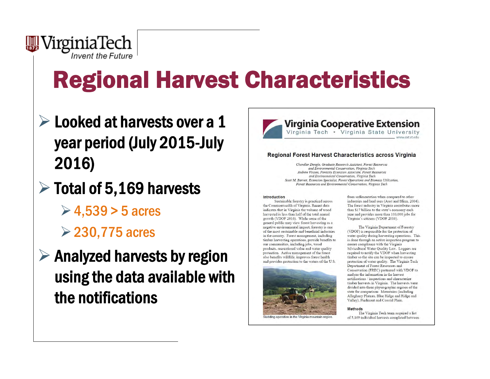

# Regional Harvest Characteristics

- $\triangleright$  Looked at harvests over a 1 year period (July 2015-July 2016)
- $\triangleright$  Total of 5,169 harvests
	- $\geq 4,539 > 5$  acres
	- 230,775 acres
- $\triangleright$  Analyzed harvests by region using the data available with the notifications



#### Regional Forest Harvest Characteristics across Virginia

Chandler Dangle, Graduate Research Assistant, Forest Resources and Environmental Conservation, Virginia Tech Andrew Vinson, Forestry Extension Associate, Forest Resources and Environmental Conservation, Virginia Tech Scott M. Barrett, Extension Specialist, Forest Operations and Biomass Utilization, Forest Resources and Environmental Conservation, Virginia Tech

#### Introduction

Sustainable forestry is practiced across the Commonwealth of Virginia. Recent data indicates that in Virginia the volume of wood harvested is less than half of the total annual growth (VDOF 2016). While some of the general public may view forest harvesting as a negative environmental impact, forestry is one of the most sustainable and beneficial industries in the country. Forest management, including timber harvesting operations, provide benefits to our communities, including jobs, wood products, recreational value and water quality protection. Active management of the forest also benefits wildlife, improves forest health and provides protection to the waters of the U.S.



from sedimentation when compared to other industries and land uses (Aust and Blinn, 2004). The forest industry in Virginia contributes more than \$17 billion to the state's economy each year and provides more than 103,000 jobs for Virginia's citizens (VDOF 2016).

The Virginia Department of Forestry (VDOF) is responsible for the protection of water quality during harvesting operations. This is done through an active inspection program to ensure compliance with the Virginia Silvicultural Water Quality Law. Loggers are required to notify the VDOF when harvesting timber so the site can be inspected to ensure protection of water quality. The Virginia Tech Department of Forest Resources and Conservation (FREC) partnered with VDOF to analyze the information in the harvest notifications / inspections and characterize timber harvests in Virginia. The harvests were divided into three physiographic regions of the state for comparison: Mountains (including Alleghany Plateau, Blue Ridge and Ridge and Valley), Piedmont and Coastal Plain.

#### **Methods**

The Virginia Tech team acquired a list of 5,169 individual harvests completed between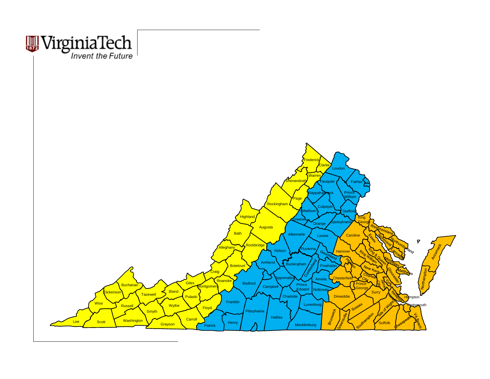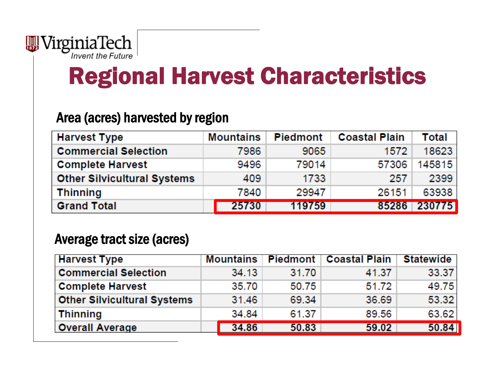

## Regional Harvest Characteristics

#### Area (acres) harvested by region

| <b>Harvest Type</b>                | <b>Mountains</b> | <b>Piedmont</b> | <b>Coastal Plain</b> | Total  |
|------------------------------------|------------------|-----------------|----------------------|--------|
| <b>Commercial Selection</b>        | 7986             | 9065            | 1572                 | 18623  |
| <b>Complete Harvest</b>            | 9496             | 79014           | 57306                | 145815 |
| <b>Other Silvicultural Systems</b> | 409              | 1733            | 257                  | 2399   |
| <b>Thinning</b>                    | 7840             | 29947           | 26151                | 63938  |
| <b>Grand Total</b>                 | 25730            | 119759          | 85286                | 230775 |

#### Average tract size (acres)

| <b>Harvest Type</b>                | Mountains | <b>Piedmont</b> | <b>Coastal Plain</b> | <b>Statewide</b> |
|------------------------------------|-----------|-----------------|----------------------|------------------|
| <b>Commercial Selection</b>        | 34.13     | 31.70           | 41.37                | 33.37            |
| <b>Complete Harvest</b>            | 35.70     | 50.75           | 51.72                | 49.75            |
| <b>Other Silvicultural Systems</b> | 31.46     | 69.34           | 36.69                | 53.32            |
| <b>Thinning</b>                    | 34.84     | 61.37           | 89.56                | 63.62            |
| <b>Overall Average</b>             | 34.86     | 50.83           | 59.02                | 50.84            |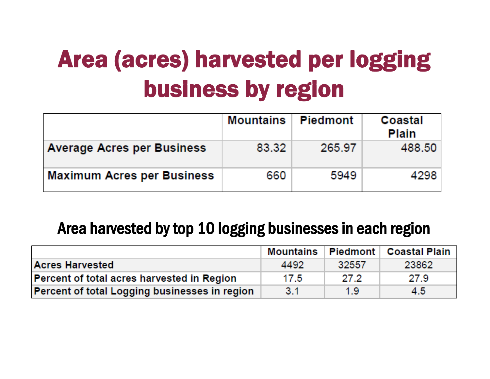# Area (acres) harvested per logging business by region

|                                   | <b>Mountains Piedmont</b> |        | Coastal<br><b>Plain</b> |
|-----------------------------------|---------------------------|--------|-------------------------|
| <b>Average Acres per Business</b> | 83.32                     | 265.97 | 488.50                  |
| <b>Maximum Acres per Business</b> | 660                       | 5949   | 4298                    |

#### Area harvested by top 10 logging businesses in each region

|                                               |      |       | Mountains   Piedmont   Coastal Plain |
|-----------------------------------------------|------|-------|--------------------------------------|
| <b>Acres Harvested</b>                        | 4492 | 32557 | 23862                                |
| Percent of total acres harvested in Region    | 17.5 | 27.2  | 27.9                                 |
| Percent of total Logging businesses in region | 3.1  | 1.9   | 4.5                                  |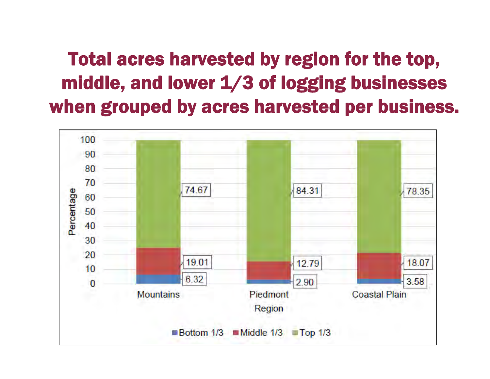### Total acres harvested by region for the top, middle, and lower 1/3 of logging businesses when grouped by acres harvested per business.

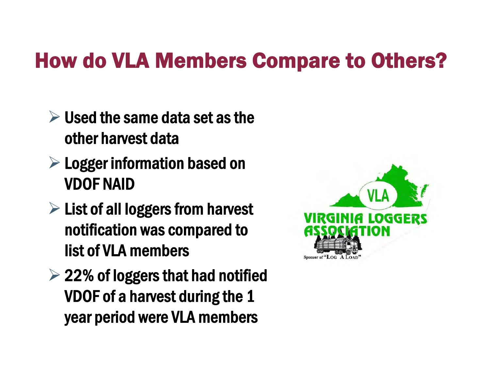## How do VLA Members Compare to Others?

- $\triangleright$  Used the same data set as the other harvest data
- $\triangleright$  Logger information based on VDOF NAID
- $\triangleright$  List of all loggers from harvest notification was compared to list of VLA members
- $\geq$  22% of loggers that had notified VDOF of a harvest during the 1 year period were VLA members

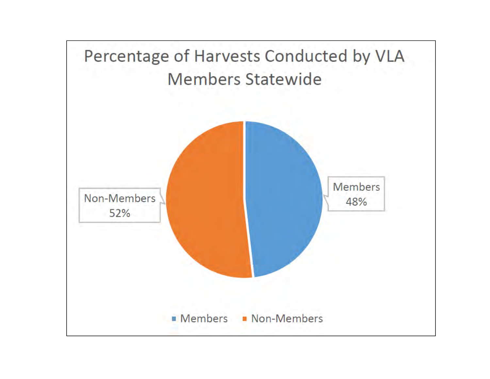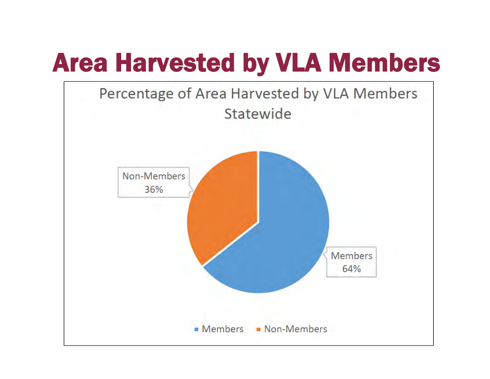# Area Harvested by VLA Members

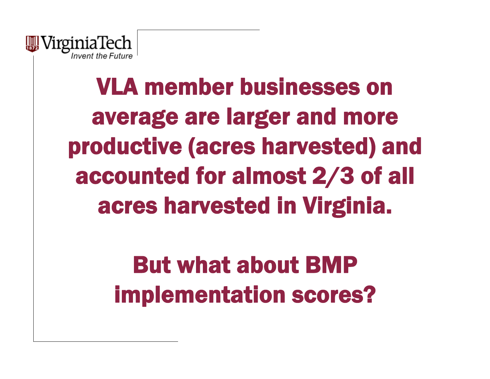

# VLA member businesses on average are larger and more productive (acres harvested) and accounted for almost 2/3 of all acres harvested in Virginia.

But what about BMP implementation scores?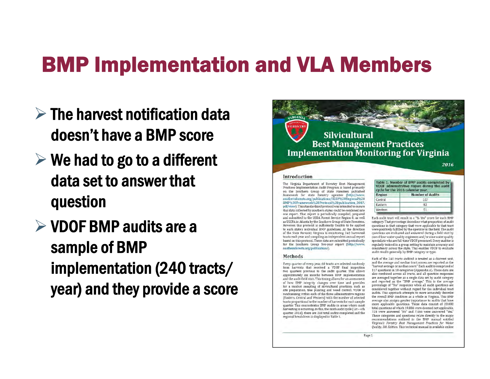### BMP Implementation and VLA Members

- $\triangleright$  The harvest notification data doesn't have a BMP score
- $\triangleright$  We had to go to a different data set to answer that question
- $\triangleright$  VDOF BMP audits are a sample of BMP implementation (240 tracts/ year) and they provide a score

### **Silvicultural Best Management Practices Implementation Monitoring for Virginia**

Introduction

The Virginia Department of Forestry Best Management Practices Implementation Audit Program is based primarily on the Southern Group of State Foresters published framework for state forestry agencies (http://www. southernforests.org/publications/SGSF%20Regional%20 BMP%20Framework%20Protocol%20publication\_2007, pdf/view). This standardized protocol was intended to ensure that data collected by southern states could be combined into one report. That report is periodically compiled, prepared and submitted to the USDA Forest Service Region 8, as well as USEPA in Atlanta by the Southern Group of State Foresters. However, this protocol is sufficiently flexible to be applied to each state's individual BMP guidelines. At the direction of the State Forester, Virginia is monitoring 240 harvested tracts each year and compiling an independent annual report based on this protocol. These data are submitted periodically for the Southern Group five-year report (http://www southernforests.org/publications).

#### Methods

Every quarter of every year, 60 tracts are selected randomly from harvests that received a VDOF final inspection two quarters previous to the audit quarter. This allows approximately six months between BMP implementation and the audit field visit. This timing allows for an assessment of how BMP integrity changes over time and provides for a modest sampling of silvicultural practices, such as site preparation, tree planting and weed control. VDOF is randomizing within each of the three administrative regions (Eastern, Central and Western) with the number of selected tracts proportional to the number of harvests for each sample quarter. This concentrates BMP audits in areas where most harvesting is occurring. In this, the ninth audit cycle (1st-4th quarter, 2016), there are 240 total audits completed and the regional breakdown is displayed in Table 1.

| Table 1. Number of BMP audits completed by<br>VDOF administrative region during the audit<br>cycle for the 2016 calendar year. |                         |  |
|--------------------------------------------------------------------------------------------------------------------------------|-------------------------|--|
| Region                                                                                                                         | <b>Number of Audits</b> |  |
| Central                                                                                                                        | 107                     |  |
| Eastern                                                                                                                        | 82                      |  |
| Western                                                                                                                        | 51                      |  |

2016

Each audit tract will result in a "% Yes" score for each BMP category. That percentage describes what proportion of audit questions in that category that were applicable to that tract were positively fulfilled by the operator in the field. The audit questions are evaluated and answered during a field visit by one of four water quality engineers and/or nine water quality specialists who are full-time VDOF personnel. Every auditor is regularly trained in a group setting to maintain accuracy and consistency across the state. This enables VDOF to evaluate audit results generally by BMP category or type.

Each of the 240 tracts audited is treated as a discreet unit, and the average and median tract scores are reported as the "harvest average or median score," Each audit is comprised of 117 questions in 10 categories (Appendix A). These data are also combined across all tracts, and all question responses are averaged together as a single data set by audit category and reported as the "BMP average." This is the average percentage of "Yes" responses when all audit questions are considered together without regard for the individual tract audits. This approach attempts to more accurately describe the overall BMP condition as a whole in Virginia. This BMP average also assigns greater importance to audits that have more applicable questions. These data consist of 28,080 total questions of which 19,886 were deemed not applicable, 728 were answered "No" and 7,466 were answered "Yes." These categories and questions relate directly to the major recommendations outlined in the BMP manual entitled Virginia's Forestry Best Management Practices for Water Quality, 5th Edition. This technical manual is available online

Page 1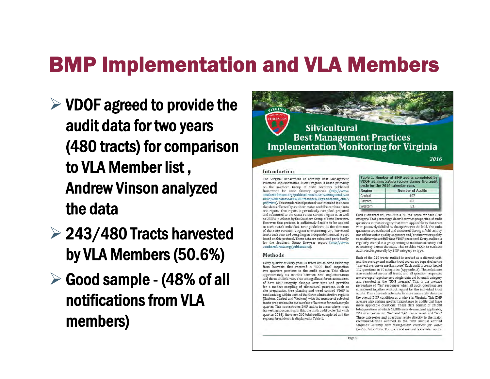## BMP Implementation and VLA Members

- $\triangleright$  VDOF agreed to provide the audit data for two years (480 tracts) for comparison to VLA Member list , Andrew Vinson analyzed the data
- $\geq$  243/480 Tracts harvested by VLA Members (50.6%)
- $\triangleright$  Good sample (48% of all notifications from VLA members)



2016

#### Introduction

The Virginia Department of Forestry Best Management Practices Implementation Audit Program is based primarily on the Southern Group of State Foresters published framework for state forestry agencies (http://www. southernforests.org/publications/SGSF%20Regional%20 BMP%20Framework%20Protocol%20publication 2007, pdf/view). This standardized protocol was intended to ensure that data collected by southern states could be combined into one report. That report is periodically compiled, prepared and submitted to the USDA Forest Service Region 8, as well as USEPA in Atlanta by the Southern Group of State Foresters. However, this protocol is sufficiently flexible to be applied to each state's individual BMP guidelines. At the direction of the State Forester, Virginia is monitoring 240 harvested tracts each year and compiling an independent annual report based on this protocol. These data are submitted periodically for the Southern Group five-year report (http://www. southernforests.org/publications).

#### Methods

Every quarter of every year, 60 tracts are selected randomly from harvests that received a VDOF final inspection two quarters previous to the audit quarter. This allows approximately six months between BMP implementation and the audit field visit. This timing allows for an assessment of how BMP integrity changes over time and provides for a modest sampling of silvicultural practices, such as site preparation, tree planting and weed control. VDOF is randomizing within each of the three administrative regions (Eastern, Central and Western) with the number of selected tracts proportional to the number of harvests for each sample. quarter. This concentrates BMP audits in areas where most harvesting is occurring. In this, the ninth audit cycle (1st-4th quarter, 2016), there are 240 total audits completed and the regional breakdown is displayed in Table 1.

| Table 1. Number of BMP audits completed by<br>VDOF administrative region during the audit<br>cycle for the 2016 calendar year. |                         |  |
|--------------------------------------------------------------------------------------------------------------------------------|-------------------------|--|
| Region                                                                                                                         | <b>Number of Audits</b> |  |
| Central                                                                                                                        | 107                     |  |
| Eastern                                                                                                                        | 82                      |  |
| Western                                                                                                                        | 51                      |  |

Each audit tract will result in a "% Yes" score for each BMP category. That percentage describes what proportion of audit questions in that category that were applicable to that tract were positively fulfilled by the operator in the field. The audit questions are evaluated and answered during a field visit by one of four water quality engineers and/or nine water quality specialists who are full-time VDOF personnel. Every auditor is regularly trained in a group setting to maintain accuracy and consistency across the state. This enables VDOF to evaluate audit results generally by BMP category or type.

Each of the 240 tracts audited is treated as a discreet unit, and the average and median tract scores are reported as the "harvest average or median score," Each audit is comprised of 117 questions in 10 categories (Appendix A). These data are also combined across all tracts, and all question responses are averaged together as a single data set by audit category and reported as the "BMP average." This is the average percentage of "Yes" responses when all audit questions are considered together without regard for the individual tract audits. This approach attempts to more accurately describe the overall BMP condition as a whole in Virginia. This BMP average also assigns greater importance to audits that have more applicable questions. These data consist of 28,080 total questions of which 19,886 were deemed not applicable, 728 were answered "No" and 7,466 were answered "Yes." These categories and questions relate directly to the major recommendations outlined in the BMP manual entitled Virginia's Forestry Best Management Practices for Water Quality, 5th Edition. This technical manual is available online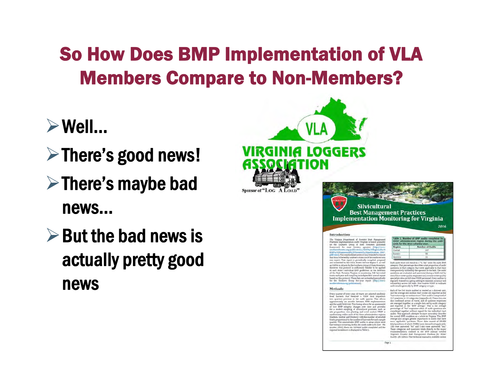### So How Does BMP Implementation of VLA Members Compare to Non-Members?

- $\triangleright$  Well...
- $\triangleright$  There's good news!
- $\triangleright$  There's maybe bad news…
- $\triangleright$  But the bad news is actually pretty good news



ov months between RMP instementation eld visit. This liming allo and the scalific<br>Helivant. This thing a shows for an anisometer  $\hat{R}_i$  <br>bow BMP integrity changes over time and provides be a model<br>range point  $\hat{R}_i$  how BMP integrity changes over time<br> $m$  and provides  $\hat{R}_i$  and slaboves is displayed in Table 1

Page 1



2016

Each audit tract will result in a "% Yes" score for each 2  $\label{eq:main}$  <br>interpret, that percentage describes what properties of analytical<br>properties with percentage describes what properties of analytical<br>properties on the distribution of the distribution of the distribution<br>were regularly trained in a group setting to maintain accuracy and<br>consistency across the state. This enables VDOF to evaluate<br>audit results generally by BMP category or type.

Each of the 240 tracts audited is treated as a dis-Facts of the 2-40 tracta and<br>that no reside as a distributed by the 2-40 tractation and the average and median tract scores are reported as the<br> $3.1\pm 0.1$  questions are reported as the solution of the average or median o connidered together without regard for the individual tract audits. This approach attempts to more accurately describe the overall HMP condition as a whole in Virginia. This BMP average also assigns greater importance to audits that have<br>more applicable questions. These data commit of 28,080 more applicable questions. These data commit of 28,080<br>total questions of which 19,886 were deemed not applicable. 722 were answered 'No' and 7,466 were answered "real These categories and questions relate directly to the major<br>recommendations, putlined in, the BMP manual enhibsd Pegana's Forestry Best Hanggement Practices for Water<br>Quality, 5th Edition, This bichoical manual is available online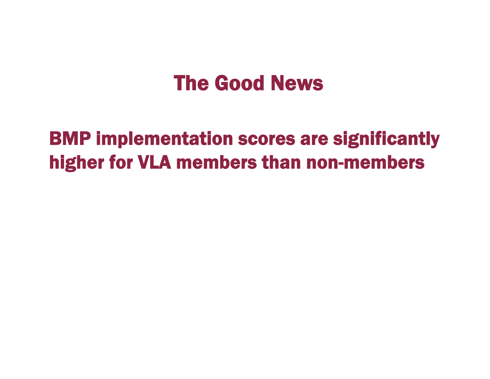## The Good News

### BMP implementation scores are significantly higher for VLA members than non-members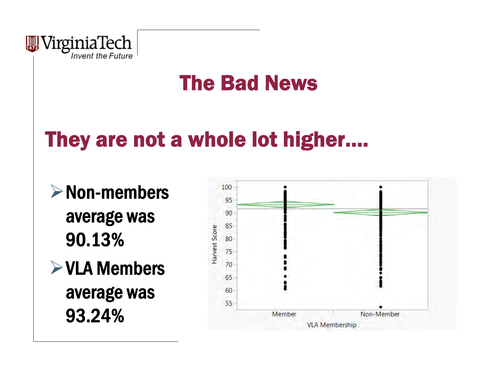

## The Bad News

## They are not a whole lot higher….

 $\triangleright$  Non-members average was 90.13% $\triangleright$  VLA Members average was 93.24%

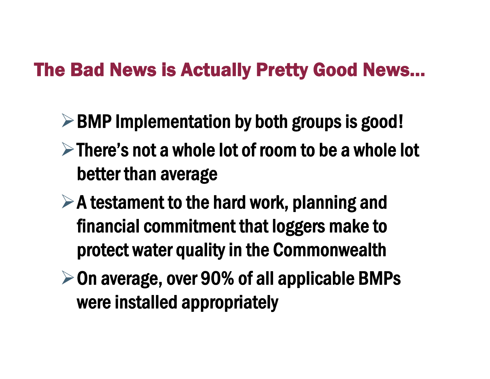### The Bad News is Actually Pretty Good News…

- $\triangleright$  BMP Implementation by both groups is good!
- $\triangleright$  There's not a whole lot of room to be a whole lot better than average
- $\triangleright$  A testament to the hard work, planning and financial commitment that loggers make to protect water quality in the Commonwealth
- $\triangleright$  On average, over 90% of all applicable BMPs were installed appropriately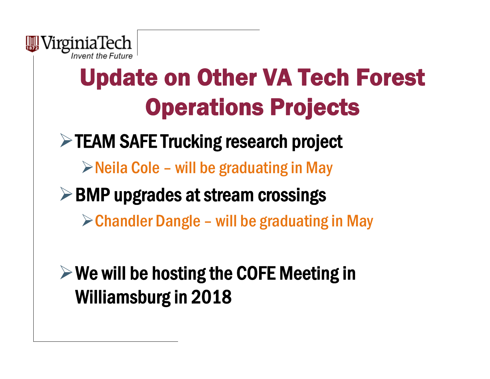

# Update on Other VA Tech Forest Operations Projects

 $\triangleright$  TEAM SAFE Trucking research project

 $\triangleright$  Neila Cole – will be graduating in May

 $\triangleright$  BMP upgrades at stream crossings

 $\triangleright$  Chandler Dangle – will be graduating in May

 $\triangleright$  We will be hosting the COFE Meeting in Williamsburg in 2018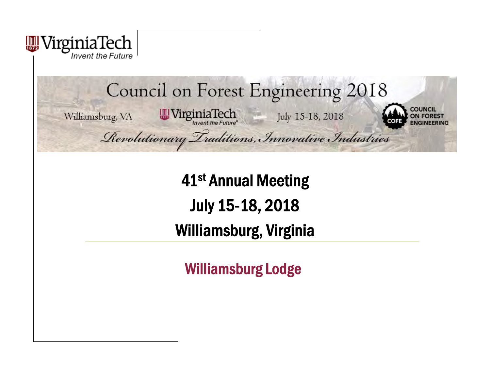

#### Council on Forest Engineering 2018 **OUNCIL**  $\frac{1}{2} \frac{1}{2} \frac{1}{2} \frac{1}{2} \frac{1}{2} \frac{1}{2} \frac{1}{2} \frac{1}{2} \frac{1}{2} \frac{1}{2} \frac{1}{2} \frac{1}{2} \frac{1}{2} \frac{1}{2} \frac{1}{2} \frac{1}{2} \frac{1}{2} \frac{1}{2} \frac{1}{2} \frac{1}{2} \frac{1}{2} \frac{1}{2} \frac{1}{2} \frac{1}{2} \frac{1}{2} \frac{1}{2} \frac{1}{2} \frac{1}{2} \frac{1}{2} \frac{1}{2} \frac{1}{2} \frac{$ Williamsburg, VA Revolutionary Traditions, Innovative Industries

41st Annual Meeting July 15-18, 2018 Williamsburg, Virginia

Williamsburg Lodge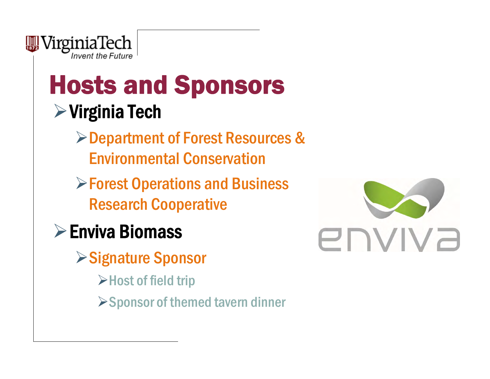

## Hosts and Sponsors  $\triangleright$  Virginia Tech

- Department of Forest Resources & Environmental Conservation
- **Eorest Operations and Business** Research Cooperative
- Enviva Biomass
	- **≻Signature Sponsor** 
		- **Example 3 Host of field trip**
		- $\triangleright$  Sponsor of themed tavern dinner